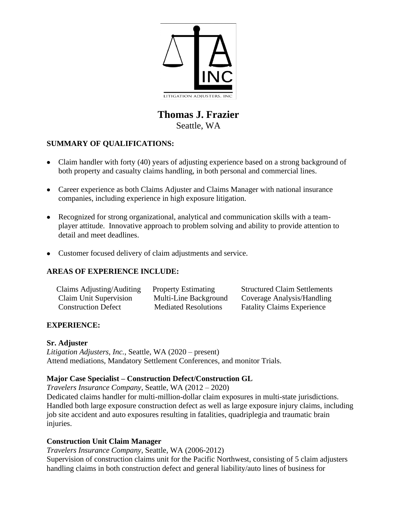

# **Thomas J. Frazier** Seattle, WA

# **SUMMARY OF QUALIFICATIONS:**

- Claim handler with forty (40) years of adjusting experience based on a strong background of both property and casualty claims handling, in both personal and commercial lines.
- Career experience as both Claims Adjuster and Claims Manager with national insurance companies, including experience in high exposure litigation.
- Recognized for strong organizational, analytical and communication skills with a teamplayer attitude. Innovative approach to problem solving and ability to provide attention to detail and meet deadlines.
- Customer focused delivery of claim adjustments and service.

# **AREAS OF EXPERIENCE INCLUDE:**

| Claims Adjusting/Auditing  | <b>Property Estimating</b>  | <b>Structured Claim Settlements</b> |
|----------------------------|-----------------------------|-------------------------------------|
| Claim Unit Supervision     | Multi-Line Background       | Coverage Analysis/Handling          |
| <b>Construction Defect</b> | <b>Mediated Resolutions</b> | <b>Fatality Claims Experience</b>   |

# **EXPERIENCE:**

#### **Sr. Adjuster**

*Litigation Adjusters, Inc.*, Seattle, WA (2020 – present) Attend mediations, Mandatory Settlement Conferences, and monitor Trials.

#### **Major Case Specialist – Construction Defect/Construction GL**

*Travelers Insurance Company*, Seattle, WA (2012 – 2020)

Dedicated claims handler for multi-million-dollar claim exposures in multi-state jurisdictions. Handled both large exposure construction defect as well as large exposure injury claims, including job site accident and auto exposures resulting in fatalities, quadriplegia and traumatic brain injuries.

#### **Construction Unit Claim Manager**

*Travelers Insurance Company*, Seattle, WA (2006-2012)

Supervision of construction claims unit for the Pacific Northwest, consisting of 5 claim adjusters handling claims in both construction defect and general liability/auto lines of business for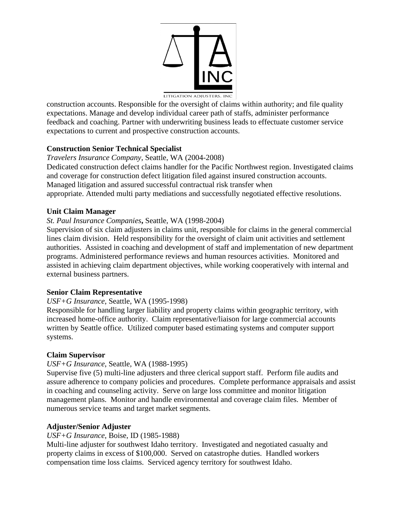

construction accounts. Responsible for the oversight of claims within authority; and file quality expectations. Manage and develop individual career path of staffs, administer performance feedback and coaching. Partner with underwriting business leads to effectuate customer service expectations to current and prospective construction accounts.

# **Construction Senior Technical Specialist**

*Travelers Insurance Company*, Seattle, WA (2004-2008) Dedicated construction defect claims handler for the Pacific Northwest region. Investigated claims and coverage for construction defect litigation filed against insured construction accounts. Managed litigation and assured successful contractual risk transfer when appropriate. Attended multi party mediations and successfully negotiated effective resolutions.

#### **Unit Claim Manager**

## *St. Paul Insurance Companies***,** Seattle, WA (1998-2004)

Supervision of six claim adjusters in claims unit, responsible for claims in the general commercial lines claim division. Held responsibility for the oversight of claim unit activities and settlement authorities. Assisted in coaching and development of staff and implementation of new department programs. Administered performance reviews and human resources activities. Monitored and assisted in achieving claim department objectives, while working cooperatively with internal and external business partners.

#### **Senior Claim Representative**

#### *USF+G Insurance*, Seattle, WA (1995-1998)

Responsible for handling larger liability and property claims within geographic territory, with increased home-office authority. Claim representative/liaison for large commercial accounts written by Seattle office. Utilized computer based estimating systems and computer support systems.

#### **Claim Supervisor**

#### *USF+G Insurance*, Seattle, WA (1988-1995)

Supervise five (5) multi-line adjusters and three clerical support staff. Perform file audits and assure adherence to company policies and procedures. Complete performance appraisals and assist in coaching and counseling activity. Serve on large loss committee and monitor litigation management plans. Monitor and handle environmental and coverage claim files. Member of numerous service teams and target market segments.

# **Adjuster/Senior Adjuster**

#### *USF+G Insurance*, Boise, ID (1985-1988)

Multi-line adjuster for southwest Idaho territory. Investigated and negotiated casualty and property claims in excess of \$100,000. Served on catastrophe duties. Handled workers compensation time loss claims. Serviced agency territory for southwest Idaho.